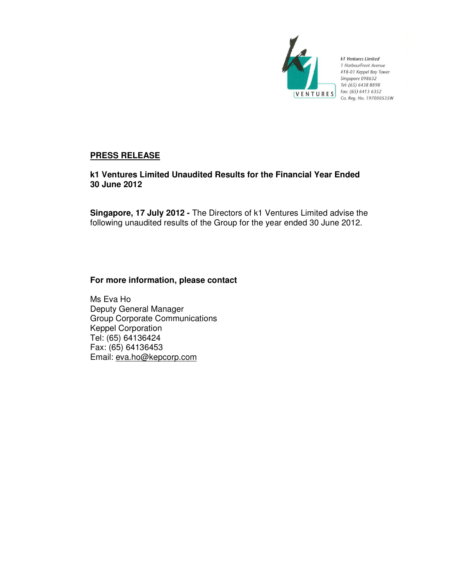

k1 Ventures Limited 1 HarbourFront Avenue #18-01 Keppel Bay Tower Singapore 098632 Tel: (65) 6438 8898 Fax: (65) 6413 6352 Co. Reg. No. 197000535W

# **PRESS RELEASE**

**k1 Ventures Limited Unaudited Results for the Financial Year Ended 30 June 2012** 

**Singapore, 17 July 2012 -** The Directors of k1 Ventures Limited advise the following unaudited results of the Group for the year ended 30 June 2012.

# **For more information, please contact**

Ms Eva Ho Deputy General Manager Group Corporate Communications Keppel Corporation Tel: (65) 64136424 Fax: (65) 64136453 Email: eva.ho@kepcorp.com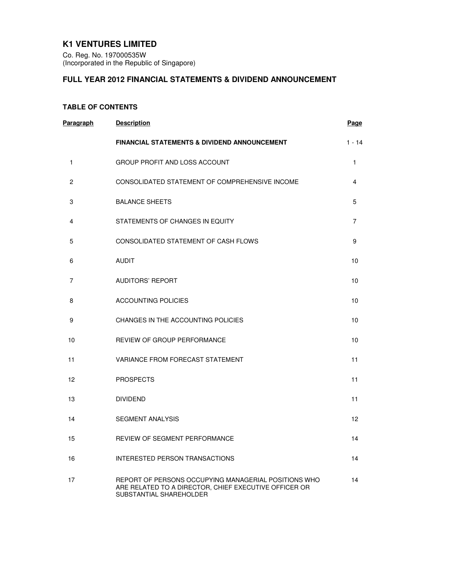# **K1 VENTURES LIMITED**

Co. Reg. No. 197000535W (Incorporated in the Republic of Singapore)

# **FULL YEAR 2012 FINANCIAL STATEMENTS & DIVIDEND ANNOUNCEMENT**

## **TABLE OF CONTENTS**

| Paragraph    | <b>Description</b>                                                                                                                       | <b>Page</b>    |
|--------------|------------------------------------------------------------------------------------------------------------------------------------------|----------------|
|              | <b>FINANCIAL STATEMENTS &amp; DIVIDEND ANNOUNCEMENT</b>                                                                                  | $1 - 14$       |
| $\mathbf{1}$ | <b>GROUP PROFIT AND LOSS ACCOUNT</b>                                                                                                     | $\mathbf{1}$   |
| 2            | CONSOLIDATED STATEMENT OF COMPREHENSIVE INCOME                                                                                           | 4              |
| 3            | <b>BALANCE SHEETS</b>                                                                                                                    | 5              |
| 4            | STATEMENTS OF CHANGES IN EQUITY                                                                                                          | $\overline{7}$ |
| 5            | CONSOLIDATED STATEMENT OF CASH FLOWS                                                                                                     | 9              |
| 6            | <b>AUDIT</b>                                                                                                                             | 10             |
| 7            | <b>AUDITORS' REPORT</b>                                                                                                                  | 10             |
| 8            | <b>ACCOUNTING POLICIES</b>                                                                                                               | 10             |
| 9            | CHANGES IN THE ACCOUNTING POLICIES                                                                                                       | 10             |
| 10           | REVIEW OF GROUP PERFORMANCE                                                                                                              | 10             |
| 11           | VARIANCE FROM FORECAST STATEMENT                                                                                                         | 11             |
| 12           | <b>PROSPECTS</b>                                                                                                                         | 11             |
| 13           | <b>DIVIDEND</b>                                                                                                                          | 11             |
| 14           | <b>SEGMENT ANALYSIS</b>                                                                                                                  | 12             |
| 15           | REVIEW OF SEGMENT PERFORMANCE                                                                                                            | 14             |
| 16           | INTERESTED PERSON TRANSACTIONS                                                                                                           | 14             |
| 17           | REPORT OF PERSONS OCCUPYING MANAGERIAL POSITIONS WHO<br>ARE RELATED TO A DIRECTOR, CHIEF EXECUTIVE OFFICER OR<br>SUBSTANTIAL SHAREHOLDER | 14             |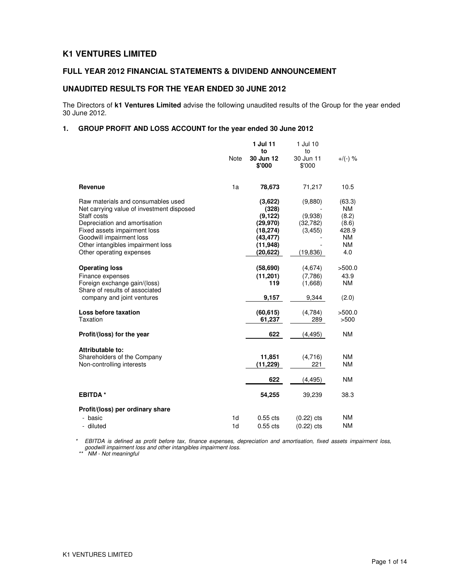## **K1 VENTURES LIMITED**

## **FULL YEAR 2012 FINANCIAL STATEMENTS & DIVIDEND ANNOUNCEMENT**

## **UNAUDITED RESULTS FOR THE YEAR ENDED 30 JUNE 2012**

The Directors of **k1 Ventures Limited** advise the following unaudited results of the Group for the year ended 30 June 2012.

## **1. GROUP PROFIT AND LOSS ACCOUNT for the year ended 30 June 2012**

|                                                                                                                                                                                                                                  |             | 1 Jul 11                                                                        | 1 Jul 10                                    |                                                                          |
|----------------------------------------------------------------------------------------------------------------------------------------------------------------------------------------------------------------------------------|-------------|---------------------------------------------------------------------------------|---------------------------------------------|--------------------------------------------------------------------------|
|                                                                                                                                                                                                                                  | <b>Note</b> | to<br>30 Jun 12<br>\$'000                                                       | to<br>30 Jun 11<br>\$'000                   | $+/(-)$ %                                                                |
| Revenue                                                                                                                                                                                                                          | 1a          | 78,673                                                                          | 71,217                                      | 10.5                                                                     |
| Raw materials and consumables used<br>Net carrying value of investment disposed<br>Staff costs<br>Depreciation and amortisation<br>Fixed assets impairment loss<br>Goodwill impairment loss<br>Other intangibles impairment loss |             | (3,622)<br>(328)<br>(9, 122)<br>(29, 970)<br>(18, 274)<br>(43,477)<br>(11, 948) | (9,880)<br>(9,938)<br>(32, 782)<br>(3, 455) | (63.3)<br><b>NM</b><br>(8.2)<br>(8.6)<br>428.9<br><b>NM</b><br><b>NM</b> |
| Other operating expenses                                                                                                                                                                                                         |             | (20,622)                                                                        | (19, 836)                                   | 4.0                                                                      |
| <b>Operating loss</b><br>Finance expenses<br>Foreign exchange gain/(loss)<br>Share of results of associated                                                                                                                      |             | (58,690)<br>(11, 201)<br>119                                                    | (4,674)<br>(7,786)<br>(1,668)               | >500.0<br>43.9<br><b>NM</b>                                              |
| company and joint ventures                                                                                                                                                                                                       |             | 9,157                                                                           | 9,344                                       | (2.0)                                                                    |
| Loss before taxation<br>Taxation                                                                                                                                                                                                 |             | (60, 615)<br>61,237                                                             | (4,784)<br>289                              | >500.0<br>>500                                                           |
| Profit/(loss) for the year                                                                                                                                                                                                       |             | 622                                                                             | (4, 495)                                    | <b>NM</b>                                                                |
| Attributable to:                                                                                                                                                                                                                 |             |                                                                                 |                                             |                                                                          |
| Shareholders of the Company<br>Non-controlling interests                                                                                                                                                                         |             | 11,851<br>(11, 229)                                                             | (4,716)<br>221                              | <b>NM</b><br><b>NM</b>                                                   |
|                                                                                                                                                                                                                                  |             | 622                                                                             | (4, 495)                                    | <b>NM</b>                                                                |
| <b>EBITDA*</b>                                                                                                                                                                                                                   |             | 54,255                                                                          | 39,239                                      | 38.3                                                                     |
| Profit/(loss) per ordinary share                                                                                                                                                                                                 |             |                                                                                 |                                             |                                                                          |
| - basic<br>- diluted                                                                                                                                                                                                             | 1d<br>1d    | $0.55$ cts<br>$0.55$ cts                                                        | $(0.22)$ cts<br>$(0.22)$ cts                | <b>NM</b><br><b>NM</b>                                                   |

\* EBITDA is defined as profit before tax, finance expenses, depreciation and amortisation, fixed assets impairment loss, goodwill impairment loss and other intangibles impairment loss.

\*\* NM - Not meaningful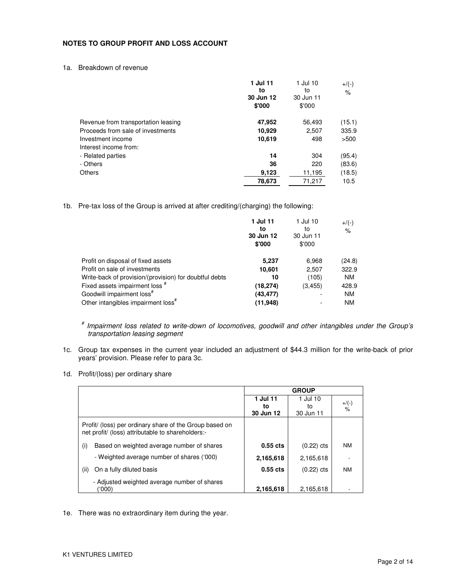### **NOTES TO GROUP PROFIT AND LOSS ACCOUNT**

1a. Breakdown of revenue

|                                     | 1 Jul 11<br>to<br>30 Jun 12<br>\$'000 | 1 Jul 10<br>to<br>30 Jun 11<br>\$'000 | $+/(-)$<br>$\%$ |
|-------------------------------------|---------------------------------------|---------------------------------------|-----------------|
| Revenue from transportation leasing | 47,952                                | 56,493                                | (15.1)          |
| Proceeds from sale of investments   | 10,929                                | 2.507                                 | 335.9           |
| Investment income                   | 10,619                                | 498                                   | >500            |
| Interest income from:               |                                       |                                       |                 |
| - Related parties                   | 14                                    | 304                                   | (95.4)          |
| - Others                            | 36                                    | 220                                   | (83.6)          |
| Others                              | 9,123                                 | 11,195                                | (18.5)          |
|                                     | 78,673                                | 71,217                                | 10.5            |

1b. Pre-tax loss of the Group is arrived at after crediting/(charging) the following:

| 1 Jul 11<br>to<br>30 Jun 12<br>\$'000 | 1 Jul 10<br>to<br>30 Jun 11<br>\$'000 | $+$ /(-)<br>$\frac{1}{6}$ |
|---------------------------------------|---------------------------------------|---------------------------|
| 5,237                                 | 6,968                                 | (24.8)                    |
| 10,601                                | 2,507                                 | 322.9                     |
| 10                                    | (105)                                 | <b>NM</b>                 |
| (18,274)                              | (3.455)                               | 428.9                     |
| (43,477)                              |                                       | <b>NM</b>                 |
| (11, 948)                             |                                       | <b>NM</b>                 |
|                                       |                                       |                           |

# Impairment loss related to write-down of locomotives, goodwill and other intangibles under the Group's transportation leasing segment

- 1c. Group tax expenses in the current year included an adjustment of \$44.3 million for the write-back of prior years' provision. Please refer to para 3c.
- 1d. Profit/(loss) per ordinary share

|                                                                                                              | <b>GROUP</b> |              |               |
|--------------------------------------------------------------------------------------------------------------|--------------|--------------|---------------|
|                                                                                                              | 1 Jul 11     | 1 Jul 10     | $+$ /(-)      |
|                                                                                                              | to           | to           | $\frac{9}{6}$ |
|                                                                                                              | 30 Jun 12    | 30 Jun 11    |               |
| Profit/ (loss) per ordinary share of the Group based on<br>net profit/ (loss) attributable to shareholders:- |              |              |               |
| Based on weighted average number of shares<br>(i)                                                            | $0.55$ cts   | $(0.22)$ cts | <b>NM</b>     |
| - Weighted average number of shares ('000)                                                                   | 2,165,618    | 2,165,618    |               |
| On a fully diluted basis<br>(ii)                                                                             | $0.55$ cts   | $(0.22)$ cts | <b>NM</b>     |
| - Adjusted weighted average number of shares                                                                 |              |              |               |
| ('000)                                                                                                       | 2,165,618    | 2,165,618    |               |

1e. There was no extraordinary item during the year.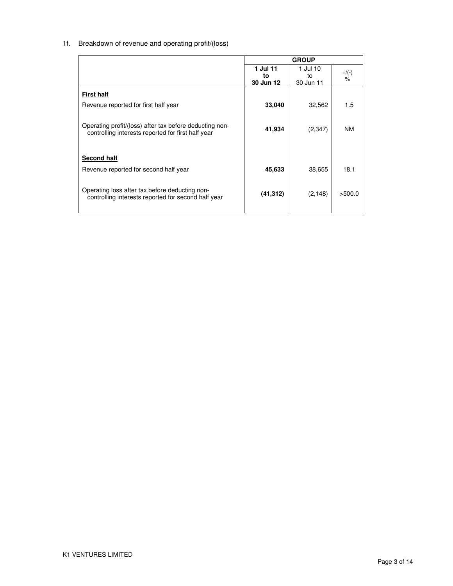# 1f. Breakdown of revenue and operating profit/(loss)

|                                                         | <b>GROUP</b> |           |          |
|---------------------------------------------------------|--------------|-----------|----------|
|                                                         | 1 Jul 11     | 1 Jul 10  | $+$ /(-) |
|                                                         | to           | to        | $\%$     |
|                                                         | 30 Jun 12    | 30 Jun 11 |          |
| <b>First half</b>                                       |              |           |          |
| Revenue reported for first half year                    | 33,040       | 32.562    | 1.5      |
|                                                         |              |           |          |
| Operating profit/(loss) after tax before deducting non- | 41,934       | (2,347)   | NM       |
| controlling interests reported for first half year      |              |           |          |
|                                                         |              |           |          |
| Second half                                             |              |           |          |
| Revenue reported for second half year                   | 45,633       | 38.655    | 18.1     |
|                                                         |              |           |          |
| Operating loss after tax before deducting non-          | (41, 312)    | (2, 148)  | >500.0   |
| controlling interests reported for second half year     |              |           |          |
|                                                         |              |           |          |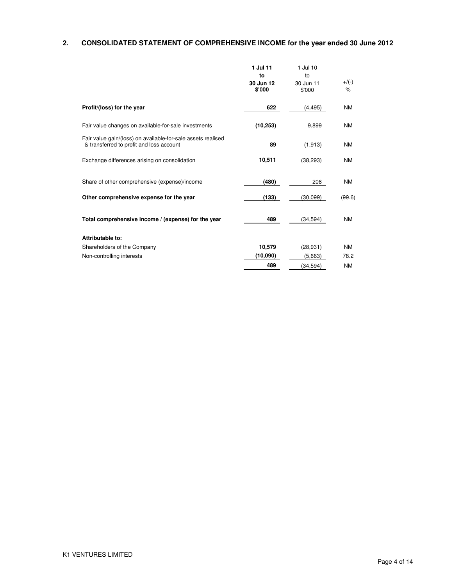# **2. CONSOLIDATED STATEMENT OF COMPREHENSIVE INCOME for the year ended 30 June 2012**

|                                                                                                          | 1 Jul 11<br>to<br>30 Jun 12<br>\$'000 | 1 Jul 10<br>to<br>30 Jun 11<br>\$'000 | $+/(-)$<br>$\%$ |
|----------------------------------------------------------------------------------------------------------|---------------------------------------|---------------------------------------|-----------------|
| Profit/(loss) for the year                                                                               | 622                                   | (4, 495)                              | <b>NM</b>       |
| Fair value changes on available-for-sale investments                                                     | (10, 253)                             | 9,899                                 | <b>NM</b>       |
| Fair value gain/(loss) on available-for-sale assets realised<br>& transferred to profit and loss account | 89                                    | (1, 913)                              | <b>NM</b>       |
| Exchange differences arising on consolidation                                                            | 10,511                                | (38, 293)                             | <b>NM</b>       |
| Share of other comprehensive (expense)/income                                                            | (480)                                 | 208                                   | <b>NM</b>       |
| Other comprehensive expense for the year                                                                 | (133)                                 | (30,099)                              | (99.6)          |
| Total comprehensive income / (expense) for the year                                                      | 489                                   | (34, 594)                             | <b>NM</b>       |
| Attributable to:                                                                                         |                                       |                                       |                 |
| Shareholders of the Company                                                                              | 10,579                                | (28, 931)                             | <b>NM</b>       |
| Non-controlling interests                                                                                | (10,090)                              | (5,663)                               | 78.2            |
|                                                                                                          | 489                                   | (34, 594)                             | <b>NM</b>       |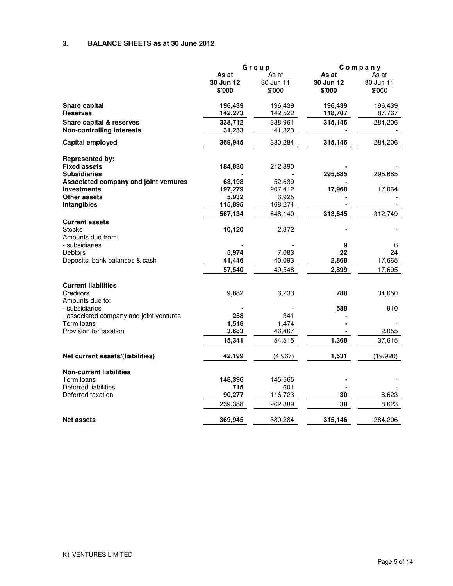## **3. BALANCE SHEETS as at 30 June 2012**

|                                                             | Group     |           | Company   |           |
|-------------------------------------------------------------|-----------|-----------|-----------|-----------|
|                                                             | As at     | As at     | As at     | As at     |
|                                                             | 30 Jun 12 | 30 Jun 11 | 30 Jun 12 | 30 Jun 11 |
|                                                             | \$'000    | \$'000    | \$'000    | \$'000    |
| <b>Share capital</b>                                        | 196,439   | 196,439   | 196,439   | 196,439   |
| <b>Reserves</b>                                             | 142,273   | 142,522   | 118,707   | 87,767    |
| Share capital & reserves                                    | 338,712   | 338,961   | 315,146   | 284,206   |
| <b>Non-controlling interests</b>                            | 31,233    | 41,323    |           |           |
| Capital employed                                            | 369,945   | 380,284   | 315,146   | 284,206   |
| <b>Represented by:</b>                                      |           |           |           |           |
| <b>Fixed assets</b>                                         | 184,830   | 212,890   |           |           |
| <b>Subsidiaries</b>                                         |           |           | 295,685   | 295,685   |
| Associated company and joint ventures                       | 63,198    | 52,639    |           |           |
| <b>Investments</b>                                          | 197,279   | 207,412   | 17,960    | 17,064    |
| Other assets                                                | 5,932     | 6,925     |           |           |
| Intangibles                                                 | 115,895   | 168,274   |           |           |
|                                                             | 567,134   | 648,140   | 313,645   | 312,749   |
| <b>Current assets</b><br><b>Stocks</b><br>Amounts due from: | 10,120    | 2,372     |           |           |
| - subsidiaries                                              |           |           | 9         | 6         |
| Debtors                                                     | 5,974     | 7,083     | 22        | 24        |
| Deposits, bank balances & cash                              | 41,446    | 40,093    | 2,868     | 17,665    |
|                                                             | 57,540    | 49,548    | 2,899     | 17,695    |
| <b>Current liabilities</b>                                  |           |           |           |           |
| Creditors                                                   | 9,882     | 6,233     | 780       | 34,650    |
| Amounts due to:                                             |           |           |           |           |
| - subsidiaries                                              |           |           | 588       | 910       |
| - associated company and joint ventures                     | 258       | 341       |           |           |
| Term Ioans                                                  | 1,518     | 1,474     |           |           |
| Provision for taxation                                      | 3,683     | 46,467    |           | 2,055     |
|                                                             | 15,341    | 54,515    | 1,368     | 37,615    |
| Net current assets/(liabilities)                            | 42,199    | (4,967)   | 1,531     | (19,920)  |
|                                                             |           |           |           |           |
| <b>Non-current liabilities</b>                              |           |           |           |           |
| Term loans                                                  | 148,396   | 145,565   |           |           |
| Deferred liabilities                                        | 715       | 601       |           |           |
| Deferred taxation                                           | 90,277    | 116,723   | 30        | 8,623     |
|                                                             | 239,388   | 262,889   | 30        | 8,623     |
| <b>Net assets</b>                                           | 369,945   | 380,284   | 315,146   | 284,206   |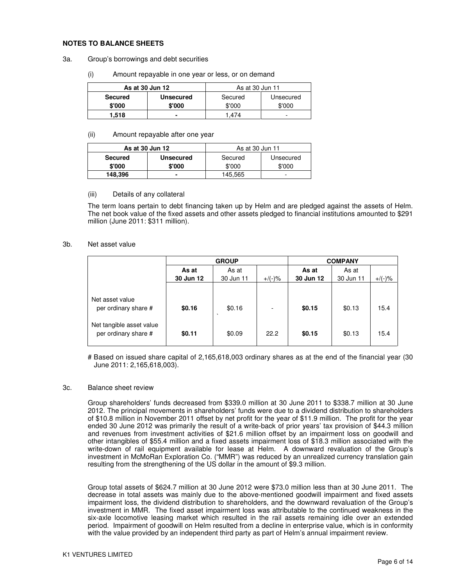#### **NOTES TO BALANCE SHEETS**

#### 3a. Group's borrowings and debt securities

(i) Amount repayable in one year or less, or on demand

| As at 30 Jun 12 |                  | As at 30 Jun 11 |           |  |
|-----------------|------------------|-----------------|-----------|--|
| <b>Secured</b>  | <b>Unsecured</b> | Secured         | Unsecured |  |
| \$'000          | \$'000           | \$'000          | \$'000    |  |
| 1.518           |                  | .474            | -         |  |

#### (ii) Amount repayable after one year

| As at 30 Jun 12 |                  | As at 30 Jun 11      |        |  |
|-----------------|------------------|----------------------|--------|--|
| <b>Secured</b>  | <b>Unsecured</b> | Secured<br>Unsecured |        |  |
| \$'000          | \$'000           | \$'000               | \$'000 |  |
| 148,396         |                  | 145,565              | -      |  |

#### (iii) Details of any collateral

The term loans pertain to debt financing taken up by Helm and are pledged against the assets of Helm. The net book value of the fixed assets and other assets pledged to financial institutions amounted to \$291 million (June 2011: \$311 million).

#### 3b. Net asset value

|                                                  | <b>GROUP</b>   |                   |           | <b>COMPANY</b> |           |           |
|--------------------------------------------------|----------------|-------------------|-----------|----------------|-----------|-----------|
|                                                  | As at<br>As at |                   |           | As at          | As at     |           |
|                                                  | 30 Jun 12      | 30 Jun 11         | $+$ /(-)% | 30 Jun 12      | 30 Jun 11 | $+/(-)$ % |
| Net asset value<br>per ordinary share #          | \$0.16         | \$0.16<br>$\cdot$ |           | \$0.15         | \$0.13    | 15.4      |
| Net tangible asset value<br>per ordinary share # | \$0.11         | \$0.09            | 22.2      | \$0.15         | \$0.13    | 15.4      |

# Based on issued share capital of 2,165,618,003 ordinary shares as at the end of the financial year (30 June 2011: 2,165,618,003).

#### 3c. Balance sheet review

 Group shareholders' funds decreased from \$339.0 million at 30 June 2011 to \$338.7 million at 30 June 2012. The principal movements in shareholders' funds were due to a dividend distribution to shareholders of \$10.8 million in November 2011 offset by net profit for the year of \$11.9 million. The profit for the year ended 30 June 2012 was primarily the result of a write-back of prior years' tax provision of \$44.3 million and revenues from investment activities of \$21.6 million offset by an impairment loss on goodwill and other intangibles of \$55.4 million and a fixed assets impairment loss of \$18.3 million associated with the write-down of rail equipment available for lease at Helm. A downward revaluation of the Group's investment in McMoRan Exploration Co. ("MMR") was reduced by an unrealized currency translation gain resulting from the strengthening of the US dollar in the amount of \$9.3 million.

Group total assets of \$624.7 million at 30 June 2012 were \$73.0 million less than at 30 June 2011. The decrease in total assets was mainly due to the above-mentioned goodwill impairment and fixed assets impairment loss, the dividend distribution to shareholders, and the downward revaluation of the Group's investment in MMR. The fixed asset impairment loss was attributable to the continued weakness in the six-axle locomotive leasing market which resulted in the rail assets remaining idle over an extended period. Impairment of goodwill on Helm resulted from a decline in enterprise value, which is in conformity with the value provided by an independent third party as part of Helm's annual impairment review.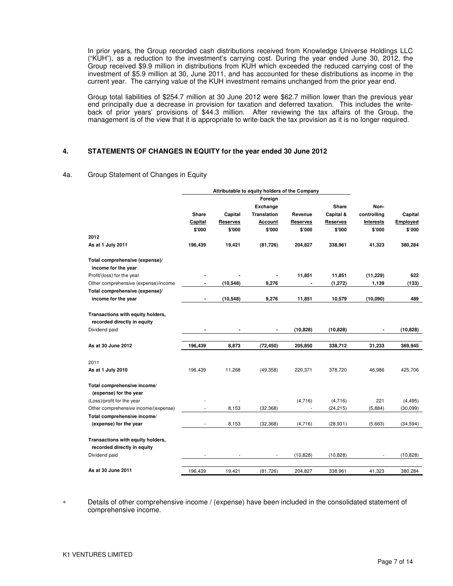In prior years, the Group recorded cash distributions received from Knowledge Universe Holdings LLC ("KUH"), as a reduction to the investment's carrying cost. During the year ended June 30, 2012, the Group received \$9.9 million in distributions from KUH which exceeded the reduced carrying cost of the investment of \$5.9 million at 30, June 2011, and has accounted for these distributions as income in the current year. The carrying value of the KUH investment remains unchanged from the prior year end.

Group total liabilities of \$254.7 million at 30 June 2012 were \$62.7 million lower than the previous year end principally due a decrease in provision for taxation and deferred taxation. This includes the writeback of prior years' provisions of \$44.3 million. After reviewing the tax affairs of the Group, the management is of the view that it is appropriate to write-back the tax provision as it is no longer required.

#### **4. STATEMENTS OF CHANGES IN EQUITY for the year ended 30 June 2012**

#### 4a. Group Statement of Changes in Equity

|                                                                  | Attributable to equity holders of the Company |           |                    |                          |                 |             |           |
|------------------------------------------------------------------|-----------------------------------------------|-----------|--------------------|--------------------------|-----------------|-------------|-----------|
|                                                                  |                                               |           | Foreign            |                          |                 |             |           |
|                                                                  |                                               |           | Exchange           |                          | <b>Share</b>    | Non-        |           |
|                                                                  | <b>Share</b>                                  | Capital   | <b>Translation</b> | Revenue                  | Capital &       | controlling | Capital   |
|                                                                  | Capital                                       | Reserves  | Account            | Reserves                 | <b>Reserves</b> | Interests   | Employed  |
|                                                                  | \$'000                                        | \$'000    | \$'000             | \$'000                   | \$'000          | \$'000      | \$'000    |
| 2012                                                             |                                               |           |                    |                          |                 |             |           |
| As at 1 July 2011                                                | 196,439                                       | 19,421    | (81, 726)          | 204,827                  | 338,961         | 41,323      | 380,284   |
| Total comprehensive (expense)/                                   |                                               |           |                    |                          |                 |             |           |
| income for the year                                              |                                               |           |                    |                          |                 |             |           |
| Profit/(loss) for the year                                       |                                               |           |                    | 11,851                   | 11,851          | (11, 229)   | 622       |
| Other comprehensive (expense)/income                             |                                               | (10, 548) | 9,276              |                          | (1, 272)        | 1,139       | (133)     |
| Total comprehensive (expense)/                                   |                                               |           |                    |                          |                 |             |           |
| income for the year                                              | ٠                                             | (10, 548) | 9,276              | 11,851                   | 10,579          | (10,090)    | 489       |
| Transactions with equity holders,<br>recorded directly in equity |                                               |           |                    |                          |                 |             |           |
| Dividend paid                                                    |                                               |           |                    | (10, 828)                | (10, 828)       |             | (10, 828) |
|                                                                  |                                               |           |                    |                          |                 |             |           |
| As at 30 June 2012                                               | 196,439                                       | 8,873     | (72, 450)          | 205,850                  | 338,712         | 31,233      | 369,945   |
| 2011                                                             |                                               |           |                    |                          |                 |             |           |
| As at 1 July 2010                                                | 196,439                                       | 11,268    | (49, 358)          | 220,371                  | 378,720         | 46,986      | 425,706   |
| Total comprehensive income/<br>(expense) for the year            |                                               |           |                    |                          |                 |             |           |
| (Loss)/profit for the year                                       |                                               |           |                    | (4,716)                  | (4,716)         | 221         | (4, 495)  |
| Other comprehensive income/(expense)                             |                                               | 8,153     | (32, 368)          | $\overline{\phantom{m}}$ | (24, 215)       | (5,884)     | (30,099)  |
| Total comprehensive income/                                      |                                               |           |                    |                          |                 |             |           |
| (expense) for the year                                           | $\overline{\phantom{a}}$                      | 8,153     | (32, 368)          | (4,716)                  | (28, 931)       | (5,663)     | (34, 594) |
| Transactions with equity holders,<br>recorded directly in equity |                                               |           |                    |                          |                 |             |           |
| Dividend paid                                                    |                                               |           |                    | (10, 828)                | (10, 828)       |             | (10, 828) |
| As at 30 June 2011                                               | 196,439                                       | 19,421    | (81, 726)          | 204,827                  | 338,961         | 41,323      | 380,284   |

Details of other comprehensive income / (expense) have been included in the consolidated statement of comprehensive income.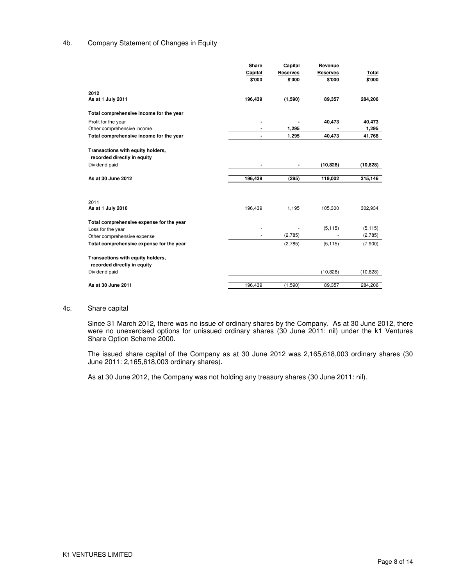## 4b. Company Statement of Changes in Equity

|                                          | Share   | Capital         | Revenue         |           |
|------------------------------------------|---------|-----------------|-----------------|-----------|
|                                          | Capital | <b>Reserves</b> | <b>Reserves</b> | Total     |
|                                          | \$'000  | \$'000          | \$'000          | \$'000    |
| 2012                                     |         |                 |                 |           |
| As at 1 July 2011                        | 196,439 | (1,590)         | 89,357          | 284,206   |
| Total comprehensive income for the year  |         |                 |                 |           |
| Profit for the year                      |         |                 | 40,473          | 40,473    |
| Other comprehensive income               |         | 1,295           |                 | 1,295     |
| Total comprehensive income for the year  |         | 1,295           | 40,473          | 41,768    |
| Transactions with equity holders,        |         |                 |                 |           |
| recorded directly in equity              |         |                 |                 |           |
| Dividend paid                            | ٠       |                 | (10, 828)       | (10, 828) |
|                                          |         |                 |                 |           |
| As at 30 June 2012                       | 196,439 | (295)           | 119,002         | 315,146   |
|                                          |         |                 |                 |           |
| 2011                                     |         |                 |                 |           |
| As at 1 July 2010                        | 196,439 | 1,195           | 105,300         | 302,934   |
| Total comprehensive expense for the year |         |                 |                 |           |
| Loss for the year                        |         |                 | (5, 115)        | (5, 115)  |
| Other comprehensive expense              |         | (2,785)         |                 | (2,785)   |
| Total comprehensive expense for the year | ٠       | (2,785)         | (5, 115)        | (7,900)   |
| Transactions with equity holders,        |         |                 |                 |           |
| recorded directly in equity              |         |                 |                 |           |
| Dividend paid                            |         |                 | (10, 828)       | (10, 828) |
| As at 30 June 2011                       | 196,439 | (1,590)         | 89,357          | 284,206   |
|                                          |         |                 |                 |           |

#### 4c. Share capital

Since 31 March 2012, there was no issue of ordinary shares by the Company. As at 30 June 2012, there were no unexercised options for unissued ordinary shares (30 June 2011: nil) under the k1 Ventures Share Option Scheme 2000.

The issued share capital of the Company as at 30 June 2012 was 2,165,618,003 ordinary shares (30 June 2011: 2,165,618,003 ordinary shares).

As at 30 June 2012, the Company was not holding any treasury shares (30 June 2011: nil).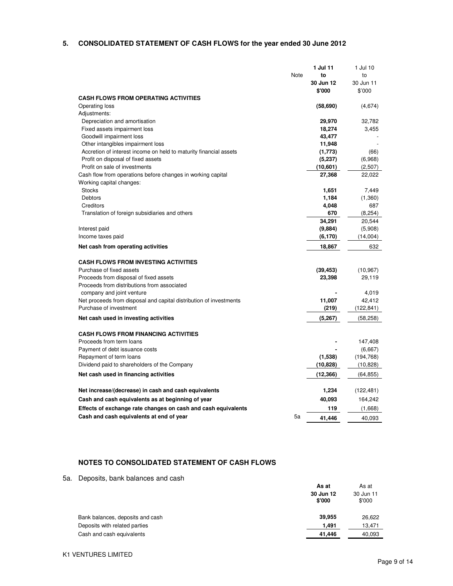## **5. CONSOLIDATED STATEMENT OF CASH FLOWS for the year ended 30 June 2012**

|                                                                    |      | 1 Jul 11  | 1 Jul 10   |
|--------------------------------------------------------------------|------|-----------|------------|
|                                                                    | Note | to        | to         |
|                                                                    |      | 30 Jun 12 | 30 Jun 11  |
|                                                                    |      | \$'000    | \$'000     |
| <b>CASH FLOWS FROM OPERATING ACTIVITIES</b>                        |      |           |            |
| Operating loss                                                     |      | (58, 690) | (4,674)    |
|                                                                    |      |           |            |
| Adjustments:                                                       |      |           |            |
| Depreciation and amortisation                                      |      | 29,970    | 32,782     |
| Fixed assets impairment loss                                       |      | 18,274    | 3,455      |
| Goodwill impairment loss                                           |      | 43,477    |            |
| Other intangibles impairment loss                                  |      | 11,948    |            |
| Accretion of interest income on held to maturity financial assets  |      | (1,773)   | (66)       |
| Profit on disposal of fixed assets                                 |      | (5,237)   | (6,968)    |
| Profit on sale of investments                                      |      | (10,601)  | (2,507)    |
| Cash flow from operations before changes in working capital        |      | 27,368    | 22,022     |
| Working capital changes:                                           |      |           |            |
| <b>Stocks</b>                                                      |      | 1,651     | 7,449      |
| Debtors                                                            |      | 1,184     | (1,360)    |
|                                                                    |      |           |            |
| Creditors                                                          |      | 4,048     | 687        |
| Translation of foreign subsidiaries and others                     |      | 670       | (8, 254)   |
|                                                                    |      | 34,291    | 20,544     |
| Interest paid                                                      |      | (9,884)   | (5,908)    |
| Income taxes paid                                                  |      | (6, 170)  | (14,004)   |
| Net cash from operating activities                                 |      | 18,867    | 632        |
|                                                                    |      |           |            |
| <b>CASH FLOWS FROM INVESTING ACTIVITIES</b>                        |      |           |            |
|                                                                    |      |           |            |
| Purchase of fixed assets                                           |      | (39, 453) | (10, 967)  |
| Proceeds from disposal of fixed assets                             |      | 23,398    | 29,119     |
| Proceeds from distributions from associated                        |      |           |            |
| company and joint venture                                          |      |           | 4,019      |
| Net proceeds from disposal and capital distribution of investments |      | 11,007    | 42,412     |
| Purchase of investment                                             |      | (219)     | (122,841)  |
| Net cash used in investing activities                              |      | (5, 267)  | (58, 258)  |
|                                                                    |      |           |            |
| <b>CASH FLOWS FROM FINANCING ACTIVITIES</b>                        |      |           |            |
|                                                                    |      |           |            |
| Proceeds from term loans                                           |      |           | 147,408    |
| Payment of debt issuance costs                                     |      |           | (6,667)    |
| Repayment of term loans                                            |      | (1,538)   | (194, 768) |
| Dividend paid to shareholders of the Company                       |      | (10, 828) | (10, 828)  |
| Net cash used in financing activities                              |      | (12, 366) | (64, 855)  |
|                                                                    |      |           |            |
| Net increase/(decrease) in cash and cash equivalents               |      | 1,234     | (122, 481) |
|                                                                    |      |           |            |
| Cash and cash equivalents as at beginning of year                  |      | 40,093    | 164,242    |
| Effects of exchange rate changes on cash and cash equivalents      |      | 119       | (1,668)    |
| Cash and cash equivalents at end of year                           | 5a   | 41.446    | 40,093     |

## **NOTES TO CONSOLIDATED STATEMENT OF CASH FLOWS**

5a. Deposits, bank balances and cash

|                                  | As at               | As at               |
|----------------------------------|---------------------|---------------------|
|                                  | 30 Jun 12<br>\$'000 | 30 Jun 11<br>\$'000 |
| Bank balances, deposits and cash | 39,955              | 26,622              |
| Deposits with related parties    | 1.491               | 13.471              |
| Cash and cash equivalents        | 41.446              | 40,093              |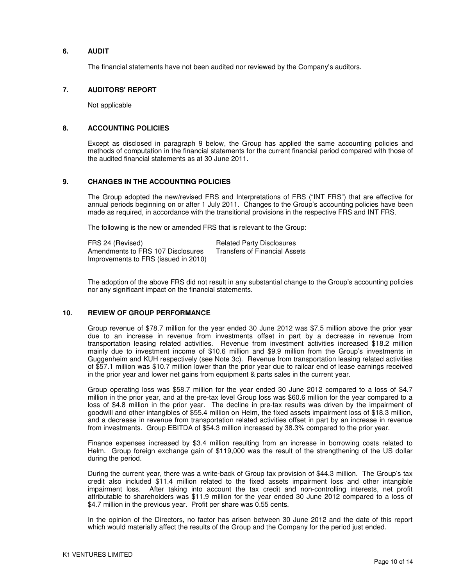## **6. AUDIT**

The financial statements have not been audited nor reviewed by the Company's auditors.

## **7. AUDITORS' REPORT**

Not applicable

### **8. ACCOUNTING POLICIES**

Except as disclosed in paragraph 9 below, the Group has applied the same accounting policies and methods of computation in the financial statements for the current financial period compared with those of the audited financial statements as at 30 June 2011.

## **9. CHANGES IN THE ACCOUNTING POLICIES**

The Group adopted the new/revised FRS and Interpretations of FRS ("INT FRS") that are effective for annual periods beginning on or after 1 July 2011. Changes to the Group's accounting policies have been made as required, in accordance with the transitional provisions in the respective FRS and INT FRS.

The following is the new or amended FRS that is relevant to the Group:

| FRS 24 (Revised)                     | <b>Related Party Disclosures</b> |
|--------------------------------------|----------------------------------|
| Amendments to FRS 107 Disclosures    | Transfers of Financial Assets    |
| Improvements to FRS (issued in 2010) |                                  |

The adoption of the above FRS did not result in any substantial change to the Group's accounting policies nor any significant impact on the financial statements.

### **10. REVIEW OF GROUP PERFORMANCE**

Group revenue of \$78.7 million for the year ended 30 June 2012 was \$7.5 million above the prior year due to an increase in revenue from investments offset in part by a decrease in revenue from transportation leasing related activities. Revenue from investment activities increased \$18.2 million mainly due to investment income of \$10.6 million and \$9.9 million from the Group's investments in Guggenheim and KUH respectively (see Note 3c). Revenue from transportation leasing related activities of \$57.1 million was \$10.7 million lower than the prior year due to railcar end of lease earnings received in the prior year and lower net gains from equipment & parts sales in the current year.

Group operating loss was \$58.7 million for the year ended 30 June 2012 compared to a loss of \$4.7 million in the prior year, and at the pre-tax level Group loss was \$60.6 million for the year compared to a loss of \$4.8 million in the prior year. The decline in pre-tax results was driven by the impairment of goodwill and other intangibles of \$55.4 million on Helm, the fixed assets impairment loss of \$18.3 million, and a decrease in revenue from transportation related activities offset in part by an increase in revenue from investments. Group EBITDA of \$54.3 million increased by 38.3% compared to the prior year.

Finance expenses increased by \$3.4 million resulting from an increase in borrowing costs related to Helm. Group foreign exchange gain of \$119,000 was the result of the strengthening of the US dollar during the period.

During the current year, there was a write-back of Group tax provision of \$44.3 million. The Group's tax credit also included \$11.4 million related to the fixed assets impairment loss and other intangible impairment loss. After taking into account the tax credit and non-controlling interests, net profit attributable to shareholders was \$11.9 million for the year ended 30 June 2012 compared to a loss of \$4.7 million in the previous year. Profit per share was 0.55 cents.

In the opinion of the Directors, no factor has arisen between 30 June 2012 and the date of this report which would materially affect the results of the Group and the Company for the period just ended.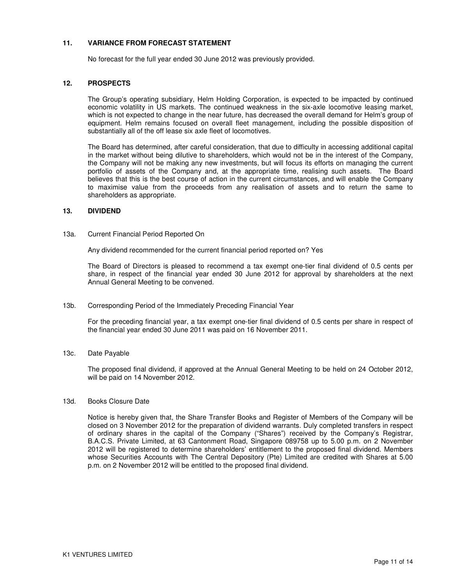### **11. VARIANCE FROM FORECAST STATEMENT**

No forecast for the full year ended 30 June 2012 was previously provided.

## **12. PROSPECTS**

The Group's operating subsidiary, Helm Holding Corporation, is expected to be impacted by continued economic volatility in US markets. The continued weakness in the six-axle locomotive leasing market, which is not expected to change in the near future, has decreased the overall demand for Helm's group of equipment. Helm remains focused on overall fleet management, including the possible disposition of substantially all of the off lease six axle fleet of locomotives.

The Board has determined, after careful consideration, that due to difficulty in accessing additional capital in the market without being dilutive to shareholders, which would not be in the interest of the Company, the Company will not be making any new investments, but will focus its efforts on managing the current portfolio of assets of the Company and, at the appropriate time, realising such assets. The Board believes that this is the best course of action in the current circumstances, and will enable the Company to maximise value from the proceeds from any realisation of assets and to return the same to shareholders as appropriate.

#### **13. DIVIDEND**

#### 13a. Current Financial Period Reported On

Any dividend recommended for the current financial period reported on? Yes

The Board of Directors is pleased to recommend a tax exempt one-tier final dividend of 0.5 cents per share, in respect of the financial year ended 30 June 2012 for approval by shareholders at the next Annual General Meeting to be convened.

13b. Corresponding Period of the Immediately Preceding Financial Year

For the preceding financial year, a tax exempt one-tier final dividend of 0.5 cents per share in respect of the financial year ended 30 June 2011 was paid on 16 November 2011.

#### 13c. Date Payable

The proposed final dividend, if approved at the Annual General Meeting to be held on 24 October 2012, will be paid on 14 November 2012.

#### 13d. Books Closure Date

Notice is hereby given that, the Share Transfer Books and Register of Members of the Company will be closed on 3 November 2012 for the preparation of dividend warrants. Duly completed transfers in respect of ordinary shares in the capital of the Company ("Shares") received by the Company's Registrar, B.A.C.S. Private Limited, at 63 Cantonment Road, Singapore 089758 up to 5.00 p.m. on 2 November 2012 will be registered to determine shareholders' entitlement to the proposed final dividend. Members whose Securities Accounts with The Central Depository (Pte) Limited are credited with Shares at 5.00 p.m. on 2 November 2012 will be entitled to the proposed final dividend.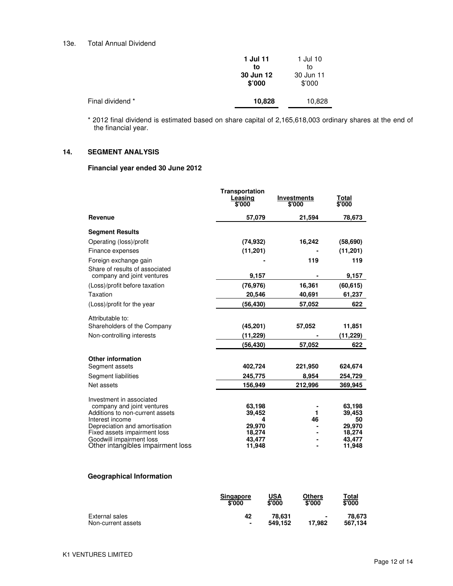#### 13e. Total Annual Dividend

|                  | 1 Jul 11<br>to<br>30 Jun 12<br>\$'000 | 1 Jul 10<br>to<br>30 Jun 11<br>\$'000 |
|------------------|---------------------------------------|---------------------------------------|
| Final dividend * | 10,828                                | 10,828                                |
|                  |                                       |                                       |

\* 2012 final dividend is estimated based on share capital of 2,165,618,003 ordinary shares at the end of the financial year.

## **14. SEGMENT ANALYSIS**

## **Financial year ended 30 June 2012**

|                                                               | <b>Transportation</b><br>Leasing<br>\$'000 | <b>Investments</b><br>\$'000 | Total<br>\$'000  |
|---------------------------------------------------------------|--------------------------------------------|------------------------------|------------------|
| Revenue                                                       | 57,079                                     | 21,594                       | 78,673           |
| <b>Segment Results</b>                                        |                                            |                              |                  |
| Operating (loss)/profit                                       | (74, 932)                                  | 16,242                       | (58, 690)        |
| Finance expenses                                              | (11, 201)                                  |                              | (11, 201)        |
| Foreign exchange gain                                         |                                            | 119                          | 119              |
| Share of results of associated<br>company and joint ventures  | 9,157                                      |                              | 9,157            |
| (Loss)/profit before taxation                                 | (76, 976)                                  | 16,361                       | (60, 615)        |
| Taxation                                                      | 20,546                                     | 40,691                       | 61,237           |
| (Loss)/profit for the year                                    | (56, 430)                                  | 57,052                       | 622              |
| Attributable to:                                              |                                            |                              |                  |
| Shareholders of the Company                                   | (45, 201)                                  | 57,052                       | 11,851           |
| Non-controlling interests                                     | (11,229)                                   |                              | (11,229)         |
|                                                               | (56,430)                                   | 57,052                       | 622              |
| <b>Other information</b>                                      |                                            |                              |                  |
| Segment assets                                                | 402,724                                    | 221,950                      | 624,674          |
| Segment liabilities                                           | 245,775                                    | 8,954                        | 254,729          |
| Net assets                                                    | 156,949                                    | 212,996                      | 369,945          |
| Investment in associated                                      |                                            |                              |                  |
| company and joint ventures<br>Additions to non-current assets | 63,198<br>39,452                           | 1                            | 63,198<br>39,453 |
| Interest income                                               | 4                                          | 46                           | 50               |
| Depreciation and amortisation                                 | 29,970                                     |                              | 29,970           |
| Fixed assets impairment loss                                  | 18,274                                     |                              | 18,274           |
| Goodwill impairment loss<br>Other intangibles impairment loss | 43,477<br>11,948                           |                              | 43,477<br>11,948 |
|                                                               |                                            |                              |                  |

## **Geographical Information**

|                    | <b>Singapore</b><br>\$'000 | USA<br>\$'000 | Others<br>\$'000         | Total<br>\$'000 |
|--------------------|----------------------------|---------------|--------------------------|-----------------|
| External sales     | 42                         | 78.631        | $\overline{\phantom{a}}$ | 78.673          |
| Non-current assets | ٠                          | 549.152       | 17.982                   | 567.134         |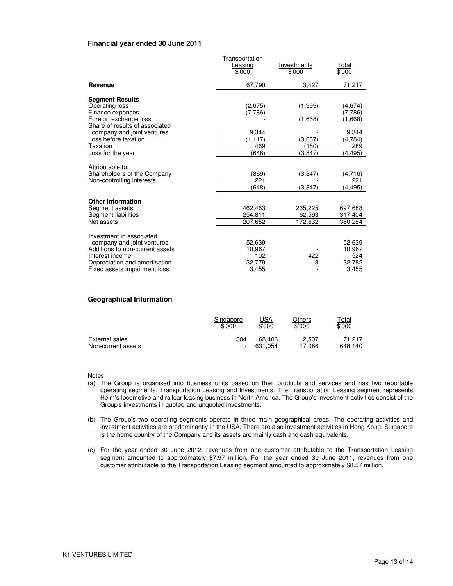#### **Financial year ended 30 June 2011**

|                                                                                                                                                                                           | Transportation<br>Leasing<br>\$'000            | Investments<br>\$'000                  | Total<br>\$'000                                           |
|-------------------------------------------------------------------------------------------------------------------------------------------------------------------------------------------|------------------------------------------------|----------------------------------------|-----------------------------------------------------------|
| Revenue                                                                                                                                                                                   | 67,790                                         | 3,427                                  | 71,217                                                    |
| <b>Segment Results</b><br>Operating loss<br>Finance expenses<br>Foreign exchange loss<br>Share of results of associated<br>company and joint ventures<br>Loss before taxation<br>Taxation | (2,675)<br>(7,786)<br>9,344<br>(1, 117)<br>469 | (1,999)<br>(1,668)<br>(3,667)<br>(180) | (4,674)<br>(7,786)<br>(1,668)<br>9,344<br>(4, 784)<br>289 |
| Loss for the year<br>Attributable to:                                                                                                                                                     | (648)                                          | (3.847)                                | (4, 495)                                                  |
| Shareholders of the Company<br>Non-controlling interests                                                                                                                                  | (869)<br>221<br>(648)                          | (3, 847)<br>(3, 847)                   | (4,716)<br>221<br>(4, 495)                                |
| <b>Other information</b><br>Segment assets<br>Segment liabilities<br>Net assets                                                                                                           | 462,463<br>254.811<br>207.652                  | 235,225<br>62.593<br>172,632           | 697,688<br>317,404<br>380,284                             |
| Investment in associated<br>company and joint ventures<br>Additions to non-current assets<br>Interest income<br>Depreciation and amortisation<br>Fixed assets impairment loss             | 52.639<br>10.967<br>102<br>32,779<br>3.455     | 422<br>3                               | 52,639<br>10,967<br>524<br>32.782<br>3,455                |

#### **Geographical Information**

|                    | Singapore                | <u>USA</u> | Others | ™ <u>otal</u> |
|--------------------|--------------------------|------------|--------|---------------|
|                    | \$'000                   | \$'000     | \$'000 | \$'000        |
| External sales     | 304                      | 68.406     | 2.507  | 71.217        |
| Non-current assets | $\overline{\phantom{a}}$ | 631.054    | 17.086 | 648.140       |

Notes:

- (a) The Group is organised into business units based on their products and services and has two reportable operating segments: Transportation Leasing and Investments. The Transportation Leasing segment represents Helm's locomotive and railcar leasing business in North America. The Group's Investment activities consist of the Group's investments in quoted and unquoted investments.
- (b) The Group's two operating segments operate in three main geographical areas. The operating activities and investment activities are predominantly in the USA. There are also investment activities in Hong Kong. Singapore is the home country of the Company and its assets are mainly cash and cash equivalents.
- (c) For the year ended 30 June 2012, revenues from one customer attributable to the Transportation Leasing segment amounted to approximately \$7.97 million. For the year ended 30 June 2011, revenues from one customer attributable to the Transportation Leasing segment amounted to approximately \$8.57 million.